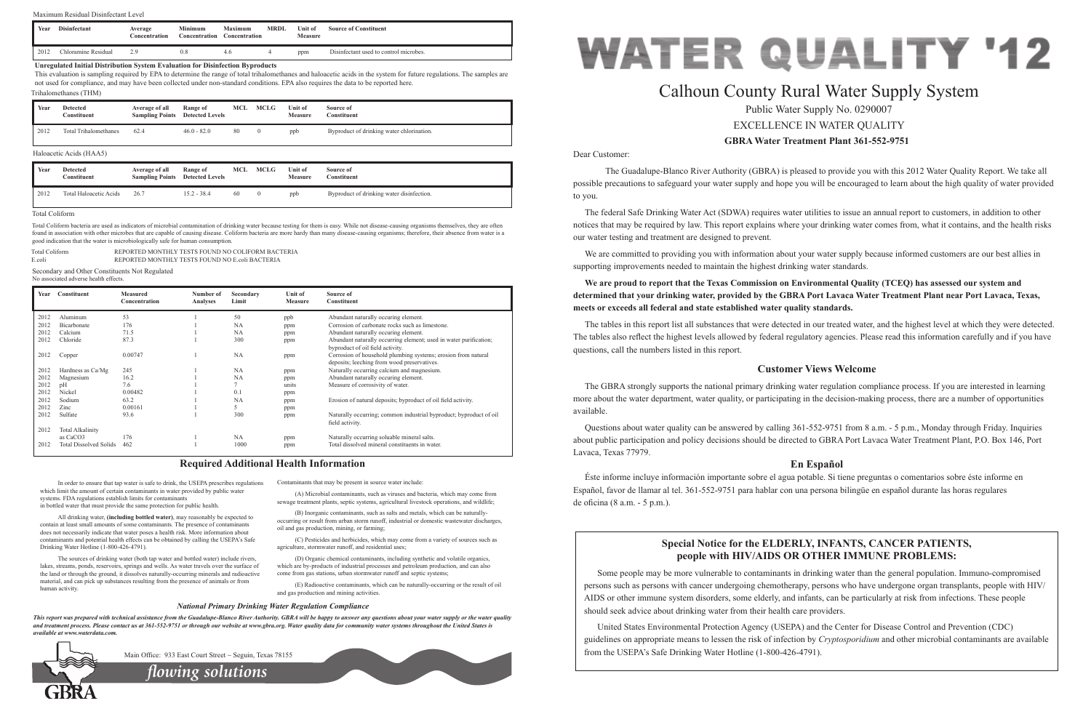## Dear Customer:

 The Guadalupe-Blanco River Authority (GBRA) is pleased to provide you with this 2012 Water Quality Report. We take all possible precautions to safeguard your water supply and hope you will be encouraged to learn about the high quality of water provided to you.

The federal Safe Drinking Water Act (SDWA) requires water utilities to issue an annual report to customers, in addition to other notices that may be required by law. This report explains where your drinking water comes from, what it contains, and the health risks our water testing and treatment are designed to prevent.

We are committed to providing you with information about your water supply because informed customers are our best allies in supporting improvements needed to maintain the highest drinking water standards.

The GBRA strongly supports the national primary drinking water regulation compliance process. If you are interested in learning more about the water department, water quality, or participating in the decision-making process, there are a number of opportunities available.

## **We are proud to report that the Texas Commission on Environmental Quality (TCEQ) has assessed our system and determined that your drinking water, provided by the GBRA Port Lavaca Water Treatment Plant near Port Lavaca, Texas, meets or exceeds all federal and state established water quality standards.**

The tables in this report list all substances that were detected in our treated water, and the highest level at which they were detected. The tables also reflect the highest levels allowed by federal regulatory agencies. Please read this information carefully and if you have questions, call the numbers listed in this report.

## **Customer Views Welcome**

Questions about water quality can be answered by calling 361-552-9751 from 8 a.m. - 5 p.m., Monday through Friday. Inquiries about public participation and policy decisions should be directed to GBRA Port Lavaca Water Treatment Plant, P.O. Box 146, Port Lavaca, Texas 77979.

## **En Español**

Éste informe incluye información importante sobre el agua potable. Si tiene preguntas o comentarios sobre éste informe en Español, favor de llamar al tel. 361-552-9751 para hablar con una persona bilingüe en español durante las horas regulares de oficina (8 a.m. - 5 p.m.).

In order to ensure that tap water is safe to drink, the USEPA prescribes regulations which limit the amount of certain contaminants in water provided by public water systems. FDA regulations establish limits for contaminants in bottled water that must provide the same protection for public health.

All drinking water, **(including bottled water)**, may reasonably be expected to contain at least small amounts of some contaminants. The presence of contaminants does not necessarily indicate that water poses a health risk. More information about contaminants and potential health effects can be obtained by calling the USEPA's Safe Drinking Water Hotline (1-800-426-4791).

# **GBRA Water Treatment Plant 361-552-9751** Calhoun County Rural Water Supply System Public Water Supply No. 0290007 EXCELLENCE IN WATER QUALITY

The sources of drinking water (both tap water and bottled water) include rivers, lakes, streams, ponds, reservoirs, springs and wells. As water travels over the surface of the land or through the ground, it dissolves naturally-occurring minerals and radioactive material, and can pick up substances resulting from the presence of animals or from human activity.

Contaminants that may be present in source water include:

(A) Microbial contaminants, such as viruses and bacteria, which may come from sewage treatment plants, septic systems, agricultural livestock operations, and wildlife;

(B) Inorganic contaminants, such as salts and metals, which can be naturallyoccurring or result from urban storm runoff, industrial or domestic wastewater discharges, oil and gas production, mining, or farming;

(C) Pesticides and herbicides, which may come from a variety of sources such as agriculture, stormwater runoff, and residential uses;

(D) Organic chemical contaminants, including synthetic and volatile organics, which are by-products of industrial processes and petroleum production, and can also come from gas stations, urban stormwater runoff and septic systems;

(E) Radioactive contaminants, which can be naturally-occurring or the result of oil and gas production and mining activities.

## **Required Additional Health Information**

## *National Primary Drinking Water Regulation Compliance*

*This report was prepared with technical assistance from the Guadalupe-Blanco River Authority. GBRA will be happy to answer any questions about your water supply or the water quality and treatment process. Please contact us at 361-552-9751 or through our website at www.gbra.org. Water quality data for community water systems throughout the United States is available at www.waterdata.com.*



Main Office: 933 East Court Street ~ Seguin, Texas 78155

## **Special Notice for the ELDERLY, INFANTS, CANCER PATIENTS, people with HIV/AIDS OR OTHER IMMUNE PROBLEMS:**

Some people may be more vulnerable to contaminants in drinking water than the general population. Immuno-compromised persons such as persons with cancer undergoing chemotherapy, persons who have undergone organ transplants, people with HIV/ AIDS or other immune system disorders, some elderly, and infants, can be particularly at risk from infections. These people should seek advice about drinking water from their health care providers.

United States Environmental Protection Agency (USEPA) and the Center for Disease Control and Prevention (CDC) guidelines on appropriate means to lessen the risk of infection by *Cryptosporidium* and other microbial contaminants are available from the USEPA's Safe Drinking Water Hotline (1-800-426-4791).



| Year | Constituent                   | <b>Measured</b><br>Concentration | Number of<br>Analyses | Secondary<br>Limit | <b>Unit of</b><br><b>Measure</b> | Source of<br>Constituent                                                                                     |
|------|-------------------------------|----------------------------------|-----------------------|--------------------|----------------------------------|--------------------------------------------------------------------------------------------------------------|
| 2012 | Aluminum                      | 53                               |                       | 50                 | ppb                              | Abundant naturally occuring element.                                                                         |
| 2012 | Bicarbonate                   | 176                              |                       | <b>NA</b>          | ppm                              | Corrosion of carbonate rocks such as limestone.                                                              |
| 2012 | Calcium                       | 71.5                             |                       | NA                 | ppm                              | Abundant naturally occuring element.                                                                         |
| 2012 | Chloride                      | 87.3                             |                       | 300                | ppm                              | Abundant naturally occurring element; used in water purification;<br>byproduct of oil field activity.        |
| 2012 | Copper                        | 0.00747                          |                       | <b>NA</b>          | ppm                              | Corrosion of household plumbing systems; erosion from natural<br>deposits; leeching from wood preservatives. |
| 2012 | Hardness as Ca/Mg             | 245                              |                       | <b>NA</b>          | ppm                              | Naturally occurring calcium and magnesium.                                                                   |
| 2012 | Magnesium                     | 16.2                             |                       | <b>NA</b>          | ppm                              | Abundant naturally occuring element.                                                                         |
| 2012 | pH                            | 7.6                              |                       |                    | units                            | Measure of corrosivity of water.                                                                             |
| 2012 | Nickel                        | 0.00482                          |                       | 0.1                | ppm                              |                                                                                                              |
| 2012 | Sodium                        | 63.2                             |                       | NA                 | ppm                              | Erosion of natural deposits; byproduct of oil field activity.                                                |
| 2012 | Zinc                          | 0.00161                          |                       |                    | ppm                              |                                                                                                              |
| 2012 | Sulfate                       | 93.6                             |                       | 300                | ppm                              | Naturally occurring; common industrial byproduct; byproduct of oil<br>field activity.                        |
| 2012 | <b>Total Alkalinity</b>       |                                  |                       |                    |                                  |                                                                                                              |
|      | as CaCO <sub>3</sub>          | 176                              |                       | <b>NA</b>          | ppm                              | Naturally occurring soluable mineral salts.                                                                  |
| 2012 | <b>Total Dissolved Solids</b> | 462                              |                       | 1000               | ppm                              | Total dissolved mineral constituents in water                                                                |

Secondary and Other Constituents Not Regulated No associated adverse health effects.

| Year | <b>Detected</b><br>Constituent | Average of all<br><b>Sampling Points</b> Detected Levels | Range of    | MCL | <b>MCLG</b> | Unit of<br>Measure | Source of<br>Constituent                  |
|------|--------------------------------|----------------------------------------------------------|-------------|-----|-------------|--------------------|-------------------------------------------|
| 2012 | Total Haloacetic Acids         | <b>26.7</b>                                              | 15.2 - 38.4 | 60  |             | ppb                | Byproduct of drinking water disinfection. |

## Haloacetic Acids (HAA5)

*flowing solutions*

| Total Coliform | REPORTED MONTHLY TESTS FOUND NO COLIFORM BACTERIA |
|----------------|---------------------------------------------------|
| E.coli         | REPORTED MONTHLY TESTS FOUND NO E.coli BACTERIA   |

### Total Coliform

Total Coliform bacteria are used as indicators of microbial contamination of drinking water because testing for them is easy. While not disease-causing organisms themselves, they are often found in association with other microbes that are capable of causing disease. Coliform bacteria are more hardy than many disease-causing organisms; therefore, their absence from water is a good indication that the water is microbiologically safe for human consumption.

| Year | <b>Detected</b><br>Constituent | Average of all | Range of<br><b>Sampling Points</b> Detected Levels | MCL | <b>MCLG</b> | <b>Unit of</b><br><b>Measure</b> | Source of<br>Constituent                  |
|------|--------------------------------|----------------|----------------------------------------------------|-----|-------------|----------------------------------|-------------------------------------------|
| 2012 | <b>Total Trihalomethanes</b>   | 62.4           | $46.0 - 82.0$                                      | 80  |             | ppb                              | Byproduct of drinking water chlorination. |

## Trihalomethanes (THM)

### **Unregulated Initial Distribution System Evaluation for Disinfection Byproducts**

This evaluation is sampling required by EPA to determine the range of total trihalomethanes and haloacetic acids in the system for future regulations. The samples are not used for compliance, and may have been collected under non-standard conditions. EPA also requires the data to be reported here.

| Year | <b>Disinfectant</b> | Average<br>Concentration | Minimum<br><b>Concentration</b> | Maximum<br>Concentration | MRDL | Unit of<br>Measure | <b>Source of Constituent</b>           |
|------|---------------------|--------------------------|---------------------------------|--------------------------|------|--------------------|----------------------------------------|
| 2012 | Chloramine Residual | ۰o                       |                                 | 4.U                      |      | ppm                | Disinfectant used to control microbes. |

## Maximum Residual Disinfectant Level